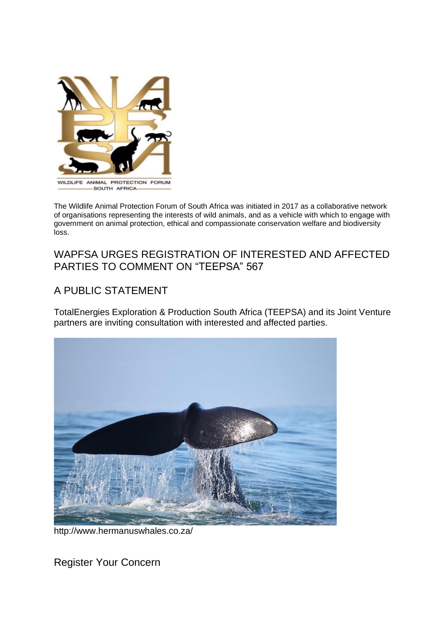

The Wildlife Animal Protection Forum of South Africa was initiated in 2017 as a collaborative network of organisations representing the interests of wild animals, and as a vehicle with which to engage with government on animal protection, ethical and compassionate conservation welfare and biodiversity loss.

## WAPFSA URGES REGISTRATION OF INTERESTED AND AFFECTED PARTIES TO COMMENT ON "TEEPSA" 567

# A PUBLIC STATEMENT

TotalEnergies Exploration & Production South Africa (TEEPSA) and its Joint Venture partners are inviting consultation with interested and affected parties.



http://www.hermanuswhales.co.za/

Register Your Concern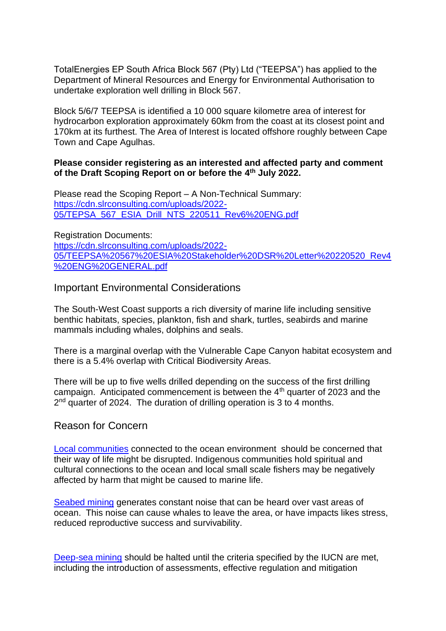TotalEnergies EP South Africa Block 567 (Pty) Ltd ("TEEPSA") has applied to the Department of Mineral Resources and Energy for Environmental Authorisation to undertake exploration well drilling in Block 567.

Block 5/6/7 TEEPSA is identified a 10 000 square kilometre area of interest for hydrocarbon exploration approximately 60km from the coast at its closest point and 170km at its furthest. The Area of Interest is located offshore roughly between Cape Town and Cape Agulhas.

#### **Please consider registering as an interested and affected party and comment of the Draft Scoping Report on or before the 4 th July 2022.**

Please read the Scoping Report – A Non-Technical Summary: [https://cdn.slrconsulting.com/uploads/2022-](https://cdn.slrconsulting.com/uploads/2022-05/TEPSA_567_ESIA_Drill_NTS_220511_Rev6%20ENG.pdf) [05/TEPSA\\_567\\_ESIA\\_Drill\\_NTS\\_220511\\_Rev6%20ENG.pdf](https://cdn.slrconsulting.com/uploads/2022-05/TEPSA_567_ESIA_Drill_NTS_220511_Rev6%20ENG.pdf)

Registration Documents: [https://cdn.slrconsulting.com/uploads/2022-](https://cdn.slrconsulting.com/uploads/2022-05/TEEPSA%20567%20ESIA%20Stakeholder%20DSR%20Letter%20220520_Rev4%20ENG%20GENERAL.pdf) [05/TEEPSA%20567%20ESIA%20Stakeholder%20DSR%20Letter%20220520\\_Rev4](https://cdn.slrconsulting.com/uploads/2022-05/TEEPSA%20567%20ESIA%20Stakeholder%20DSR%20Letter%20220520_Rev4%20ENG%20GENERAL.pdf) [%20ENG%20GENERAL.pdf](https://cdn.slrconsulting.com/uploads/2022-05/TEEPSA%20567%20ESIA%20Stakeholder%20DSR%20Letter%20220520_Rev4%20ENG%20GENERAL.pdf)

### Important Environmental Considerations

The South-West Coast supports a rich diversity of marine life including sensitive benthic habitats, species, plankton, fish and shark, turtles, seabirds and marine mammals including whales, dolphins and seals.

There is a marginal overlap with the Vulnerable Cape Canyon habitat ecosystem and there is a 5.4% overlap with Critical Biodiversity Areas.

There will be up to five wells drilled depending on the success of the first drilling campaign. Anticipated commencement is between the  $4<sup>th</sup>$  quarter of 2023 and the 2<sup>nd</sup> quarter of 2024. The duration of drilling operation is 3 to 4 months.

#### Reason for Concern

[Local communities](https://www.theguardian.com/environment/2022/jun/14/africa-gas-exploration-climate-disaster-un-reserves) connected to the ocean environment should be concerned that their way of life might be disrupted. Indigenous communities hold spiritual and cultural connections to the ocean and local small scale fishers may be negatively affected by harm that might be caused to marine life.

[Seabed mining](https://www.forestandbird.org.nz/resources/endangered-blue-whales-threatened-seabed-mining) generates constant noise that can be heard over vast areas of ocean. This noise can cause whales to leave the area, or have impacts likes stress, reduced reproductive success and survivability.

[Deep-sea mining](https://www.iucn.org/resources/issues-briefs/deep-sea-mining) should be halted until the criteria specified by the IUCN are met, including the introduction of assessments, effective regulation and mitigation